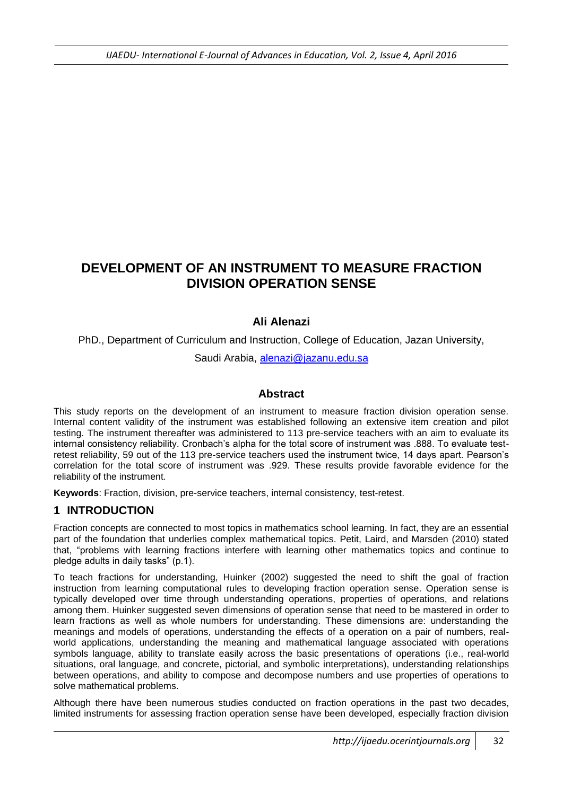# **DEVELOPMENT OF AN INSTRUMENT TO MEASURE FRACTION DIVISION OPERATION SENSE**

# **Ali Alenazi**

PhD., Department of Curriculum and Instruction, College of Education, Jazan University,

Saudi Arabia, [alenazi@jazanu.edu.sa](mailto:alenazi@jazanu.edu.sa)

### **Abstract**

This study reports on the development of an instrument to measure fraction division operation sense. Internal content validity of the instrument was established following an extensive item creation and pilot testing. The instrument thereafter was administered to 113 pre-service teachers with an aim to evaluate its internal consistency reliability. Cronbach's alpha for the total score of instrument was .888. To evaluate testretest reliability, 59 out of the 113 pre-service teachers used the instrument twice, 14 days apart. Pearson's correlation for the total score of instrument was .929. These results provide favorable evidence for the reliability of the instrument.

**Keywords**: Fraction, division, pre-service teachers, internal consistency, test-retest.

#### **1 INTRODUCTION**

Fraction concepts are connected to most topics in mathematics school learning. In fact, they are an essential part of the foundation that underlies complex mathematical topics. Petit, Laird, and Marsden (2010) stated that, "problems with learning fractions interfere with learning other mathematics topics and continue to pledge adults in daily tasks" (p.1).

To teach fractions for understanding, Huinker (2002) suggested the need to shift the goal of fraction instruction from learning computational rules to developing fraction operation sense. Operation sense is typically developed over time through understanding operations, properties of operations, and relations among them. Huinker suggested seven dimensions of operation sense that need to be mastered in order to learn fractions as well as whole numbers for understanding. These dimensions are: understanding the meanings and models of operations, understanding the effects of a operation on a pair of numbers, realworld applications, understanding the meaning and mathematical language associated with operations symbols language, ability to translate easily across the basic presentations of operations (i.e., real-world situations, oral language, and concrete, pictorial, and symbolic interpretations), understanding relationships between operations, and ability to compose and decompose numbers and use properties of operations to solve mathematical problems.

Although there have been numerous studies conducted on fraction operations in the past two decades, limited instruments for assessing fraction operation sense have been developed, especially fraction division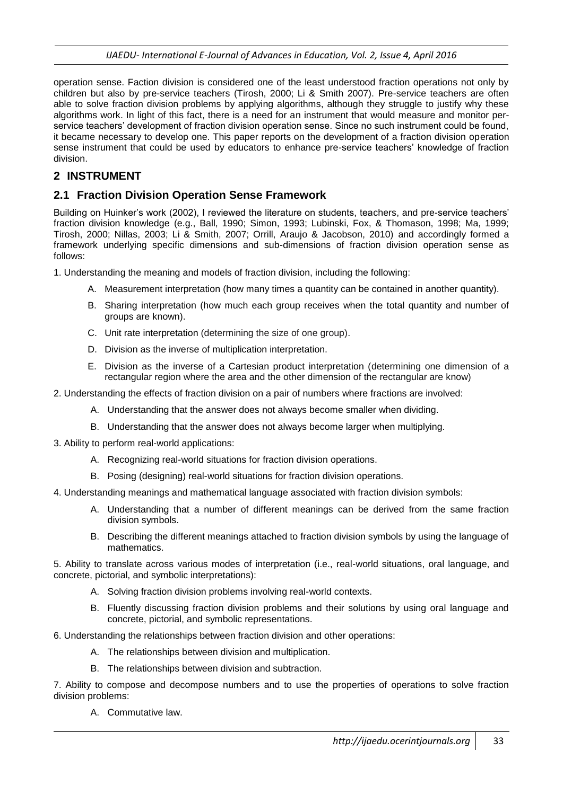operation sense. Faction division is considered one of the least understood fraction operations not only by children but also by pre-service teachers (Tirosh, 2000; Li & Smith 2007). Pre-service teachers are often able to solve fraction division problems by applying algorithms, although they struggle to justify why these algorithms work. In light of this fact, there is a need for an instrument that would measure and monitor perservice teachers' development of fraction division operation sense. Since no such instrument could be found, it became necessary to develop one. This paper reports on the development of a fraction division operation sense instrument that could be used by educators to enhance pre-service teachers' knowledge of fraction division.

# **2 INSTRUMENT**

### **2.1 Fraction Division Operation Sense Framework**

Building on Huinker's work (2002), I reviewed the literature on students, teachers, and pre-service teachers' fraction division knowledge (e.g., Ball, 1990; Simon, 1993; Lubinski, Fox, & Thomason, 1998; Ma, 1999; Tirosh, 2000; Nillas, 2003; Li & Smith, 2007; Orrill, Araujo & Jacobson, 2010) and accordingly formed a framework underlying specific dimensions and sub-dimensions of fraction division operation sense as follows:

1. Understanding the meaning and models of fraction division, including the following:

- A. Measurement interpretation (how many times a quantity can be contained in another quantity).
- B. Sharing interpretation (how much each group receives when the total quantity and number of groups are known).
- C. Unit rate interpretation (determining the size of one group).
- D. Division as the inverse of multiplication interpretation.
- E. Division as the inverse of a Cartesian product interpretation (determining one dimension of a rectangular region where the area and the other dimension of the rectangular are know)
- 2. Understanding the effects of fraction division on a pair of numbers where fractions are involved:
	- A. Understanding that the answer does not always become smaller when dividing.
	- B. Understanding that the answer does not always become larger when multiplying.
- 3. Ability to perform real-world applications:
	- A. Recognizing real-world situations for fraction division operations.
	- B. Posing (designing) real-world situations for fraction division operations.
- 4. Understanding meanings and mathematical language associated with fraction division symbols:
	- A. Understanding that a number of different meanings can be derived from the same fraction division symbols.
	- B. Describing the different meanings attached to fraction division symbols by using the language of mathematics.

5. Ability to translate across various modes of interpretation (i.e., real-world situations, oral language, and concrete, pictorial, and symbolic interpretations):

- A. Solving fraction division problems involving real-world contexts.
- B. Fluently discussing fraction division problems and their solutions by using oral language and concrete, pictorial, and symbolic representations.
- 6. Understanding the relationships between fraction division and other operations:
	- A. The relationships between division and multiplication.
	- B. The relationships between division and subtraction.

7. Ability to compose and decompose numbers and to use the properties of operations to solve fraction division problems:

A. Commutative law.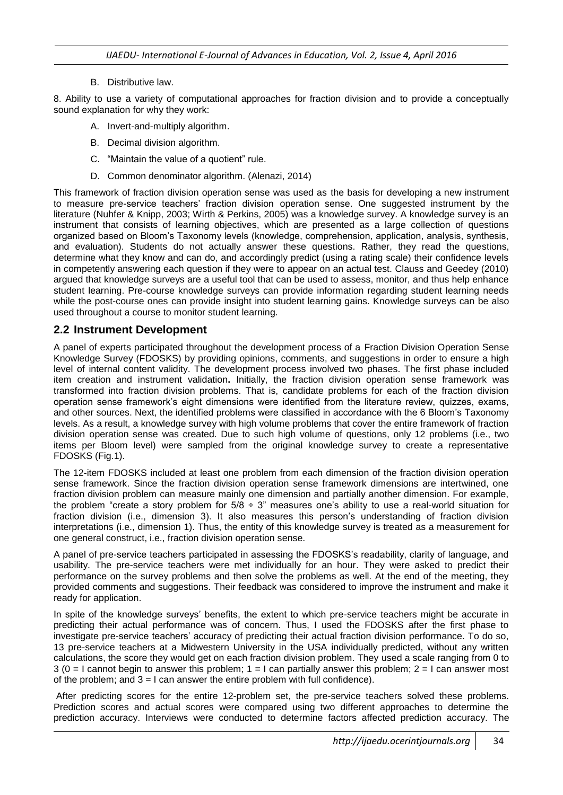B. Distributive law.

8. Ability to use a variety of computational approaches for fraction division and to provide a conceptually sound explanation for why they work:

- A. Invert-and-multiply algorithm.
- B. Decimal division algorithm.
- C. "Maintain the value of a quotient" rule.
- D. Common denominator algorithm. (Alenazi, 2014)

This framework of fraction division operation sense was used as the basis for developing a new instrument to measure pre-service teachers' fraction division operation sense. One suggested instrument by the literature (Nuhfer & Knipp, 2003; Wirth & Perkins, 2005) was a knowledge survey. A knowledge survey is an instrument that consists of learning objectives, which are presented as a large collection of questions organized based on Bloom's Taxonomy levels (knowledge, comprehension, application, analysis, synthesis, and evaluation). Students do not actually answer these questions. Rather, they read the questions, determine what they know and can do, and accordingly predict (using a rating scale) their confidence levels in competently answering each question if they were to appear on an actual test. Clauss and Geedey (2010) argued that knowledge surveys are a useful tool that can be used to assess, monitor, and thus help enhance student learning. Pre-course knowledge surveys can provide information regarding student learning needs while the post-course ones can provide insight into student learning gains. Knowledge surveys can be also used throughout a course to monitor student learning.

#### **2.2 Instrument Development**

A panel of experts participated throughout the development process of a Fraction Division Operation Sense Knowledge Survey (FDOSKS) by providing opinions, comments, and suggestions in order to ensure a high level of internal content validity. The development process involved two phases. The first phase included item creation and instrument validation**.** Initially, the fraction division operation sense framework was transformed into fraction division problems. That is, candidate problems for each of the fraction division operation sense framework's eight dimensions were identified from the literature review, quizzes, exams, and other sources. Next, the identified problems were classified in accordance with the 6 Bloom's Taxonomy levels. As a result, a knowledge survey with high volume problems that cover the entire framework of fraction division operation sense was created. Due to such high volume of questions, only 12 problems (i.e., two items per Bloom level) were sampled from the original knowledge survey to create a representative FDOSKS (Fig.1).

The 12-item FDOSKS included at least one problem from each dimension of the fraction division operation sense framework. Since the fraction division operation sense framework dimensions are intertwined, one fraction division problem can measure mainly one dimension and partially another dimension. For example, the problem "create a story problem for  $5/8 \div 3$ " measures one's ability to use a real-world situation for fraction division (i.e., dimension 3). It also measures this person's understanding of fraction division interpretations (i.e., dimension 1). Thus, the entity of this knowledge survey is treated as a measurement for one general construct, i.e., fraction division operation sense.

A panel of pre-service teachers participated in assessing the FDOSKS's readability, clarity of language, and usability. The pre-service teachers were met individually for an hour. They were asked to predict their performance on the survey problems and then solve the problems as well. At the end of the meeting, they provided comments and suggestions. Their feedback was considered to improve the instrument and make it ready for application.

In spite of the knowledge surveys' benefits, the extent to which pre-service teachers might be accurate in predicting their actual performance was of concern. Thus, I used the FDOSKS after the first phase to investigate pre-service teachers' accuracy of predicting their actual fraction division performance. To do so, 13 pre-service teachers at a Midwestern University in the USA individually predicted, without any written calculations, the score they would get on each fraction division problem. They used a scale ranging from 0 to  $3$  (0 = I cannot begin to answer this problem;  $1 = 1$  can partially answer this problem;  $2 = 1$  can answer most of the problem; and  $3 = 1$  can answer the entire problem with full confidence).

After predicting scores for the entire 12-problem set, the pre-service teachers solved these problems. Prediction scores and actual scores were compared using two different approaches to determine the prediction accuracy. Interviews were conducted to determine factors affected prediction accuracy. The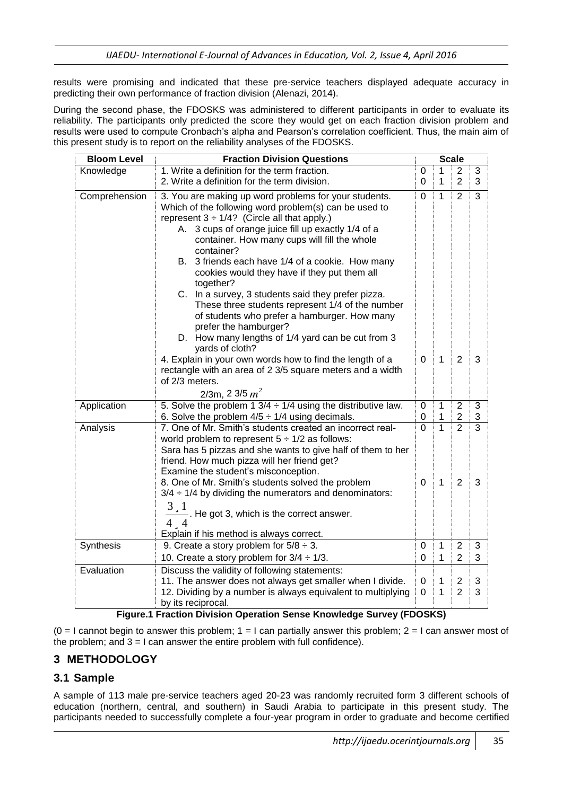results were promising and indicated that these pre-service teachers displayed adequate accuracy in predicting their own performance of fraction division (Alenazi, 2014).

During the second phase, the FDOSKS was administered to different participants in order to evaluate its reliability. The participants only predicted the score they would get on each fraction division problem and results were used to compute Cronbach's alpha and Pearson's correlation coefficient. Thus, the main aim of this present study is to report on the reliability analyses of the FDOSKS.

| <b>Bloom Level</b> | <b>Fraction Division Questions</b>                                                                               |               |                | <b>Scale</b>          |                |  |  |
|--------------------|------------------------------------------------------------------------------------------------------------------|---------------|----------------|-----------------------|----------------|--|--|
| Knowledge          | 1. Write a definition for the term fraction.                                                                     |               | $\mathbf{1}$   | $\mathbf{2}^{\prime}$ | 3              |  |  |
|                    | 2. Write a definition for the term division.                                                                     |               | $\mathbf{1}$   | $\overline{2}$        | 3              |  |  |
| Comprehension      | 3. You are making up word problems for your students.                                                            |               | $\mathbf{1}$   | $\overline{2}$        | 3              |  |  |
|                    | Which of the following word problem(s) can be used to                                                            |               |                |                       |                |  |  |
|                    | represent $3 \div 1/4$ ? (Circle all that apply.)                                                                |               |                |                       |                |  |  |
|                    | A. 3 cups of orange juice fill up exactly 1/4 of a                                                               |               |                |                       |                |  |  |
|                    | container. How many cups will fill the whole                                                                     |               |                |                       |                |  |  |
|                    | container?                                                                                                       |               |                |                       |                |  |  |
|                    | B. 3 friends each have 1/4 of a cookie. How many                                                                 |               |                |                       |                |  |  |
|                    | cookies would they have if they put them all<br>together?                                                        |               |                |                       |                |  |  |
|                    | C. In a survey, 3 students said they prefer pizza.                                                               |               |                |                       |                |  |  |
|                    | These three students represent 1/4 of the number                                                                 |               |                |                       |                |  |  |
|                    | of students who prefer a hamburger. How many<br>prefer the hamburger?                                            |               |                |                       |                |  |  |
|                    | D. How many lengths of 1/4 yard can be cut from 3                                                                |               |                |                       |                |  |  |
|                    | yards of cloth?                                                                                                  |               |                |                       |                |  |  |
|                    | 4. Explain in your own words how to find the length of a                                                         | 0             | $\mathbf{1}$   | 2                     | 3              |  |  |
|                    | rectangle with an area of 2 3/5 square meters and a width                                                        |               |                |                       |                |  |  |
|                    | of 2/3 meters.                                                                                                   |               |                |                       |                |  |  |
|                    | $2/3$ m, 2 3/5 $m^2$                                                                                             |               |                |                       |                |  |  |
| Application        | 5. Solve the problem 1 $3/4 \div 1/4$ using the distributive law.                                                | 0             | 1              | $\overline{2}$        | 3              |  |  |
|                    | 6. Solve the problem $4/5 \div 1/4$ using decimals.                                                              | 0<br>$\Omega$ | 1              | $\overline{c}$        | 3              |  |  |
| Analysis           | 7. One of Mr. Smith's students created an incorrect real-                                                        |               | $\overline{1}$ | $\overline{2}$        | $\overline{3}$ |  |  |
|                    | world problem to represent $5 \div 1/2$ as follows:                                                              |               |                |                       |                |  |  |
|                    | Sara has 5 pizzas and she wants to give half of them to her                                                      |               |                |                       |                |  |  |
|                    | friend. How much pizza will her friend get?                                                                      |               |                |                       |                |  |  |
|                    | Examine the student's misconception.                                                                             |               | $\mathbf{1}$   | $\overline{2}$        | 3              |  |  |
|                    | 8. One of Mr. Smith's students solved the problem<br>$3/4 \div 1/4$ by dividing the numerators and denominators: |               |                |                       |                |  |  |
|                    |                                                                                                                  |               |                |                       |                |  |  |
|                    | $3_{.1}$<br>$\frac{1}{x}$ . He got 3, which is the correct answer.<br>44                                         |               |                |                       |                |  |  |
|                    | Explain if his method is always correct.                                                                         |               |                |                       |                |  |  |
| Synthesis          | 9. Create a story problem for $5/8 \div 3$ .                                                                     | 0             | $\mathbf{1}$   | $\overline{2}$        | 3              |  |  |
|                    | 10. Create a story problem for $3/4 \div 1/3$ .                                                                  | 0             | $\mathbf{1}$   | $\overline{2}$        | 3              |  |  |
| Evaluation         | Discuss the validity of following statements:                                                                    |               |                |                       |                |  |  |
|                    | 11. The answer does not always get smaller when I divide.                                                        | 0             | $\mathbf 1$    | 2                     | 3              |  |  |
|                    | 12. Dividing by a number is always equivalent to multiplying                                                     | 0             | $\mathbf{1}$   | $\overline{2}$        | 3              |  |  |
|                    | by its reciprocal.                                                                                               |               |                |                       |                |  |  |

#### **Figure.1 Fraction Division Operation Sense Knowledge Survey (FDOSKS)**

 $(0 = 1$  cannot begin to answer this problem;  $1 = 1$  can partially answer this problem;  $2 = 1$  can answer most of the problem; and  $3 = 1$  can answer the entire problem with full confidence).

# **3 METHODOLOGY**

#### **3.1 Sample**

A sample of 113 male pre-service teachers aged 20-23 was randomly recruited form 3 different schools of education (northern, central, and southern) in Saudi Arabia to participate in this present study. The participants needed to successfully complete a four-year program in order to graduate and become certified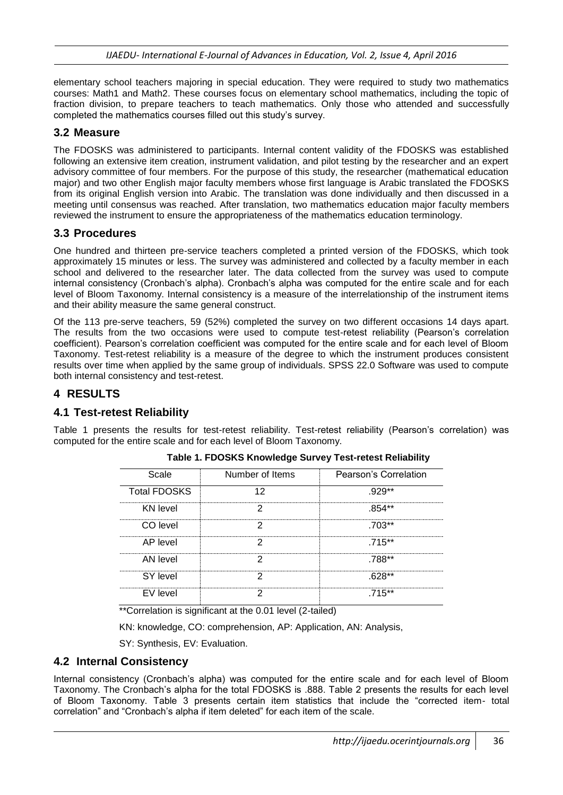elementary school teachers majoring in special education. They were required to study two mathematics courses: Math1 and Math2. These courses focus on elementary school mathematics, including the topic of fraction division, to prepare teachers to teach mathematics. Only those who attended and successfully completed the mathematics courses filled out this study's survey.

#### **3.2 Measure**

The FDOSKS was administered to participants. Internal content validity of the FDOSKS was established following an extensive item creation, instrument validation, and pilot testing by the researcher and an expert advisory committee of four members. For the purpose of this study, the researcher (mathematical education major) and two other English major faculty members whose first language is Arabic translated the FDOSKS from its original English version into Arabic. The translation was done individually and then discussed in a meeting until consensus was reached. After translation, two mathematics education major faculty members reviewed the instrument to ensure the appropriateness of the mathematics education terminology.

### **3.3 Procedures**

One hundred and thirteen pre-service teachers completed a printed version of the FDOSKS, which took approximately 15 minutes or less. The survey was administered and collected by a faculty member in each school and delivered to the researcher later. The data collected from the survey was used to compute internal consistency (Cronbach's alpha). Cronbach's alpha was computed for the entire scale and for each level of Bloom Taxonomy. Internal consistency is a measure of the interrelationship of the instrument items and their ability measure the same general construct.

Of the 113 pre-serve teachers, 59 (52%) completed the survey on two different occasions 14 days apart. The results from the two occasions were used to compute test-retest reliability (Pearson's correlation coefficient). Pearson's correlation coefficient was computed for the entire scale and for each level of Bloom Taxonomy. Test-retest reliability is a measure of the degree to which the instrument produces consistent results over time when applied by the same group of individuals. SPSS 22.0 Software was used to compute both internal consistency and test-retest.

## **4 RESULTS**

#### **4.1 Test-retest Reliability**

Table 1 presents the results for test-retest reliability. Test-retest reliability (Pearson's correlation) was computed for the entire scale and for each level of Bloom Taxonomy.

| Scale               | Number of Items | Pearson's Correlation |
|---------------------|-----------------|-----------------------|
| <b>Total FDOSKS</b> |                 | $.929**$              |
| KN level            |                 | $.854**$              |
| CO level            |                 | 703**                 |
| AP level            |                 | 715**                 |
| AN level            |                 | 788**                 |
| SY level            |                 | 628**                 |
| EV level            |                 | 715**                 |

#### **Table 1. FDOSKS Knowledge Survey Test-retest Reliability**

\*\*Correlation is significant at the 0.01 level (2-tailed)

KN: knowledge, CO: comprehension, AP: Application, AN: Analysis,

SY: Synthesis, EV: Evaluation.

#### **4.2 Internal Consistency**

Internal consistency (Cronbach's alpha) was computed for the entire scale and for each level of Bloom Taxonomy. The Cronbach's alpha for the total FDOSKS is .888. Table 2 presents the results for each level of Bloom Taxonomy. Table 3 presents certain item statistics that include the "corrected item- total correlation" and "Cronbach's alpha if item deleted" for each item of the scale.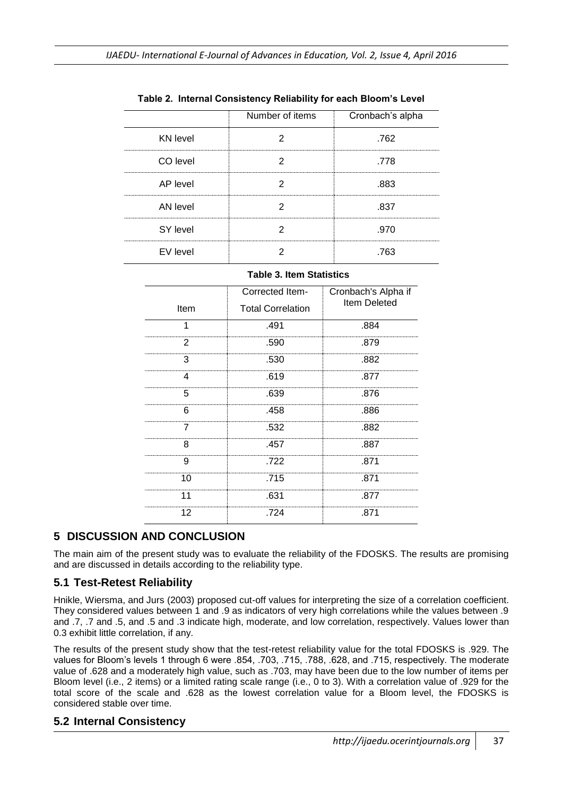|                 | Number of items | Cronbach's alpha |
|-----------------|-----------------|------------------|
| <b>KN</b> level |                 | .762             |
| CO level        |                 | .778             |
| AP level        |                 | .883             |
| AN level        |                 | -837             |
| SY level        |                 | .970             |
| EV level        |                 | -763             |

**Table 2. Internal Consistency Reliability for each Bloom's Level**

#### **Table 3. Item Statistics**

|      | Corrected Item-          | Cronbach's Alpha if<br>Item Deleted |  |
|------|--------------------------|-------------------------------------|--|
| Item | <b>Total Correlation</b> |                                     |  |
| 1    | .491                     | .884                                |  |
| 2    | .590                     | .879                                |  |
| з    | .530                     | .882                                |  |
| 4    | .619                     | .877                                |  |
| 5    | .639                     | .876                                |  |
| 6    | .458                     | .886                                |  |
|      | .532                     | .882                                |  |
| 8    | .457                     | .887                                |  |
| 9    | .722                     | .871                                |  |
| 10   | .715                     | .871                                |  |
|      | .631                     | .877                                |  |
| 12   | .724                     | .871                                |  |

# **5 DISCUSSION AND CONCLUSION**

The main aim of the present study was to evaluate the reliability of the FDOSKS. The results are promising and are discussed in details according to the reliability type.

# **5.1 Test-Retest Reliability**

Hnikle, Wiersma, and Jurs (2003) proposed cut-off values for interpreting the size of a correlation coefficient. They considered values between 1 and .9 as indicators of very high correlations while the values between .9 and .7, .7 and .5, and .5 and .3 indicate high, moderate, and low correlation, respectively. Values lower than 0.3 exhibit little correlation, if any.

The results of the present study show that the test-retest reliability value for the total FDOSKS is .929. The values for Bloom's levels 1 through 6 were .854, .703, .715, .788, .628, and .715, respectively. The moderate value of .628 and a moderately high value, such as .703, may have been due to the low number of items per Bloom level (i.e., 2 items) or a limited rating scale range (i.e., 0 to 3). With a correlation value of .929 for the total score of the scale and .628 as the lowest correlation value for a Bloom level, the FDOSKS is considered stable over time.

#### **5.2 Internal Consistency**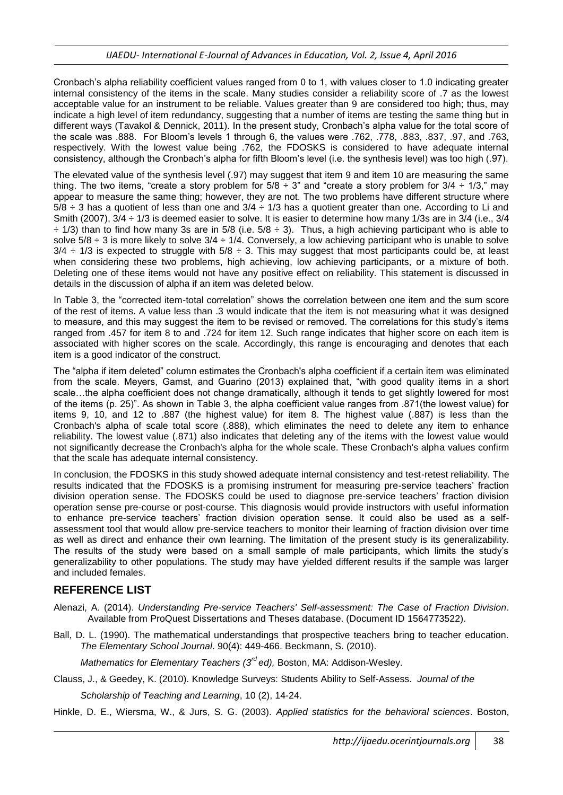Cronbach's alpha reliability coefficient values ranged from 0 to 1, with values closer to 1.0 indicating greater internal consistency of the items in the scale. Many studies consider a reliability score of .7 as the lowest acceptable value for an instrument to be reliable. Values greater than 9 are considered too high; thus, may indicate a high level of item redundancy, suggesting that a number of items are testing the same thing but in different ways (Tavakol & Dennick, 2011). In the present study, Cronbach's alpha value for the total score of the scale was .888. For Bloom's levels 1 through 6, the values were .762, .778, .883, .837, .97, and .763, respectively. With the lowest value being .762, the FDOSKS is considered to have adequate internal consistency, although the Cronbach's alpha for fifth Bloom's level (i.e. the synthesis level) was too high (.97).

The elevated value of the synthesis level (.97) may suggest that item 9 and item 10 are measuring the same thing. The two items, "create a story problem for  $5/8 \div 3$ " and "create a story problem for  $3/4 \div 1/3$ ," may appear to measure the same thing; however, they are not. The two problems have different structure where  $5/8 \div 3$  has a quotient of less than one and  $3/4 \div 1/3$  has a quotient greater than one. According to Li and Smith (2007), 3/4 ÷ 1/3 is deemed easier to solve. It is easier to determine how many 1/3s are in 3/4 (i.e., 3/4 ÷ 1/3) than to find how many 3s are in 5/8 (i.e. 5/8 ÷ 3). Thus, a high achieving participant who is able to solve  $5/8 \div 3$  is more likely to solve  $3/4 \div 1/4$ . Conversely, a low achieving participant who is unable to solve  $3/4 \div 1/3$  is expected to struggle with  $5/8 \div 3$ . This may suggest that most participants could be, at least when considering these two problems, high achieving, low achieving participants, or a mixture of both. Deleting one of these items would not have any positive effect on reliability. This statement is discussed in details in the discussion of alpha if an item was deleted below.

In Table 3, the "corrected item-total correlation" shows the correlation between one item and the sum score of the rest of items. A value less than .3 would indicate that the item is not measuring what it was designed to measure, and this may suggest the item to be revised or removed. The correlations for this study's items ranged from .457 for item 8 to and .724 for item 12. Such range indicates that higher score on each item is associated with higher scores on the scale. Accordingly, this range is encouraging and denotes that each item is a good indicator of the construct.

The "alpha if item deleted" column estimates the Cronbach's alpha coefficient if a certain item was eliminated from the scale. Meyers, Gamst, and Guarino (2013) explained that, "with good quality items in a short scale…the alpha coefficient does not change dramatically, although it tends to get slightly lowered for most of the items (p. 25)". As shown in Table 3, the alpha coefficient value ranges from .871(the lowest value) for items 9, 10, and 12 to .887 (the highest value) for item 8. The highest value (.887) is less than the Cronbach's alpha of scale total score (.888), which eliminates the need to delete any item to enhance reliability. The lowest value (.871) also indicates that deleting any of the items with the lowest value would not significantly decrease the Cronbach's alpha for the whole scale. These Cronbach's alpha values confirm that the scale has adequate internal consistency.

In conclusion, the FDOSKS in this study showed adequate internal consistency and test-retest reliability. The results indicated that the FDOSKS is a promising instrument for measuring pre-service teachers' fraction division operation sense. The FDOSKS could be used to diagnose pre-service teachers' fraction division operation sense pre-course or post-course. This diagnosis would provide instructors with useful information to enhance pre-service teachers' fraction division operation sense. It could also be used as a selfassessment tool that would allow pre-service teachers to monitor their learning of fraction division over time as well as direct and enhance their own learning. The limitation of the present study is its generalizability. The results of the study were based on a small sample of male participants, which limits the study's generalizability to other populations. The study may have yielded different results if the sample was larger and included females.

# **REFERENCE LIST**

- Alenazi, A. (2014). *Understanding Pre-service Teachers' Self-assessment: The Case of Fraction Division*. Available from ProQuest Dissertations and Theses database. (Document ID 1564773522).
- Ball, D. L. (1990). The mathematical understandings that prospective teachers bring to teacher education. *The Elementary School Journal*. 90(4): 449-466. Beckmann, S. (2010).

*Mathematics for Elementary Teachers (3rd ed),* Boston, MA: Addison-Wesley.

Clauss, J., & Geedey, K. (2010). Knowledge Surveys: Students Ability to Self-Assess. *Journal of the* 

*Scholarship of Teaching and Learning*, 10 (2), 14-24.

Hinkle, D. E., Wiersma, W., & Jurs, S. G. (2003). *Applied statistics for the behavioral sciences*. Boston,